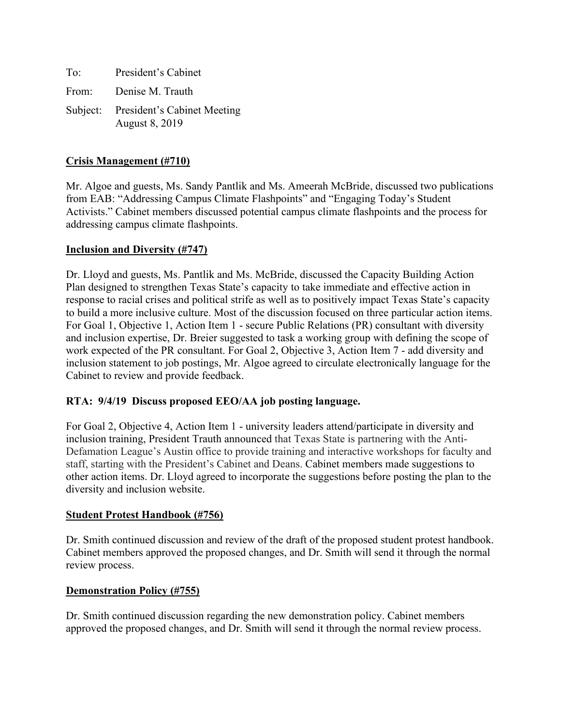| To: | President's Cabinet                                           |
|-----|---------------------------------------------------------------|
|     | From: Denise M. Trauth                                        |
|     | Subject: President's Cabinet Meeting<br><b>August 8, 2019</b> |

## **Crisis Management (#710)**

Mr. Algoe and guests, Ms. Sandy Pantlik and Ms. Ameerah McBride, discussed two publications from EAB: "Addressing Campus Climate Flashpoints" and "Engaging Today's Student Activists." Cabinet members discussed potential campus climate flashpoints and the process for addressing campus climate flashpoints.

#### **Inclusion and Diversity (#747)**

Dr. Lloyd and guests, Ms. Pantlik and Ms. McBride, discussed the Capacity Building Action Plan designed to strengthen Texas State's capacity to take immediate and effective action in response to racial crises and political strife as well as to positively impact Texas State's capacity to build a more inclusive culture. Most of the discussion focused on three particular action items. For Goal 1, Objective 1, Action Item 1 - secure Public Relations (PR) consultant with diversity and inclusion expertise, Dr. Breier suggested to task a working group with defining the scope of work expected of the PR consultant. For Goal 2, Objective 3, Action Item 7 - add diversity and inclusion statement to job postings, Mr. Algoe agreed to circulate electronically language for the Cabinet to review and provide feedback.

#### **RTA: 9/4/19 Discuss proposed EEO/AA job posting language.**

For Goal 2, Objective 4, Action Item 1 - university leaders attend/participate in diversity and inclusion training, President Trauth announced that Texas State is partnering with the Anti-Defamation League's Austin office to provide training and interactive workshops for faculty and staff, starting with the President's Cabinet and Deans. Cabinet members made suggestions to other action items. Dr. Lloyd agreed to incorporate the suggestions before posting the plan to the diversity and inclusion website.

#### **Student Protest Handbook (#756)**

Dr. Smith continued discussion and review of the draft of the proposed student protest handbook. Cabinet members approved the proposed changes, and Dr. Smith will send it through the normal review process.

#### **Demonstration Policy (#755)**

Dr. Smith continued discussion regarding the new demonstration policy. Cabinet members approved the proposed changes, and Dr. Smith will send it through the normal review process.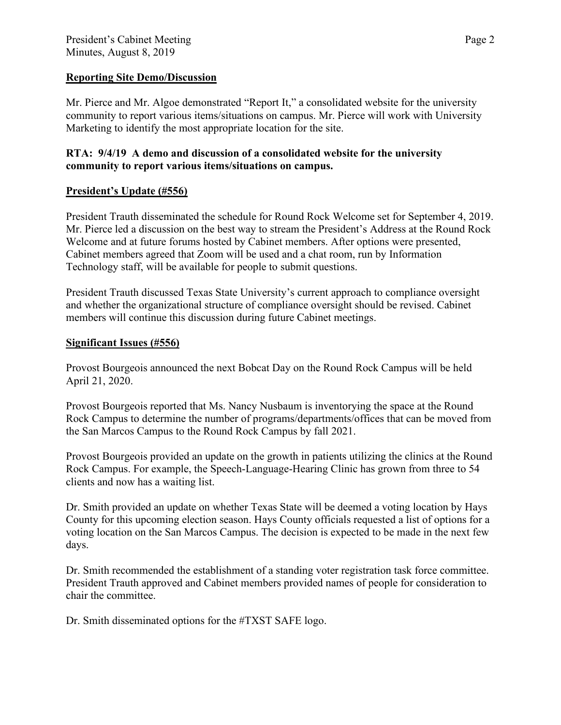### **Reporting Site Demo/Discussion**

Mr. Pierce and Mr. Algoe demonstrated "Report It," a consolidated website for the university community to report various items/situations on campus. Mr. Pierce will work with University Marketing to identify the most appropriate location for the site.

## **RTA: 9/4/19 A demo and discussion of a consolidated website for the university community to report various items/situations on campus.**

# **President's Update (#556)**

President Trauth disseminated the schedule for Round Rock Welcome set for September 4, 2019. Mr. Pierce led a discussion on the best way to stream the President's Address at the Round Rock Welcome and at future forums hosted by Cabinet members. After options were presented, Cabinet members agreed that Zoom will be used and a chat room, run by Information Technology staff, will be available for people to submit questions.

President Trauth discussed Texas State University's current approach to compliance oversight and whether the organizational structure of compliance oversight should be revised. Cabinet members will continue this discussion during future Cabinet meetings.

## **Significant Issues (#556)**

Provost Bourgeois announced the next Bobcat Day on the Round Rock Campus will be held April 21, 2020.

Provost Bourgeois reported that Ms. Nancy Nusbaum is inventorying the space at the Round Rock Campus to determine the number of programs/departments/offices that can be moved from the San Marcos Campus to the Round Rock Campus by fall 2021.

Provost Bourgeois provided an update on the growth in patients utilizing the clinics at the Round Rock Campus. For example, the Speech-Language-Hearing Clinic has grown from three to 54 clients and now has a waiting list.

Dr. Smith provided an update on whether Texas State will be deemed a voting location by Hays County for this upcoming election season. Hays County officials requested a list of options for a voting location on the San Marcos Campus. The decision is expected to be made in the next few days.

Dr. Smith recommended the establishment of a standing voter registration task force committee. President Trauth approved and Cabinet members provided names of people for consideration to chair the committee.

Dr. Smith disseminated options for the #TXST SAFE logo.